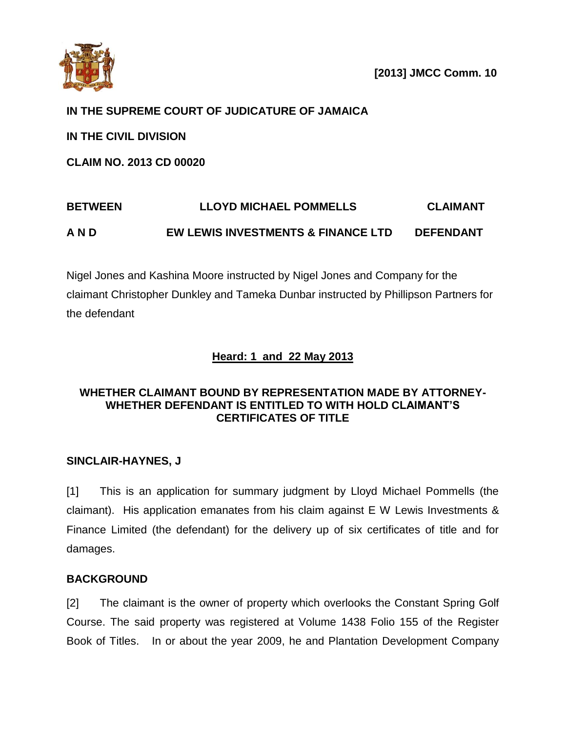

## **IN THE SUPREME COURT OF JUDICATURE OF JAMAICA**

**IN THE CIVIL DIVISION**

**CLAIM NO. 2013 CD 00020**

# **BETWEEN LLOYD MICHAEL POMMELLS CLAIMANT A N D EW LEWIS INVESTMENTS & FINANCE LTD DEFENDANT**

Nigel Jones and Kashina Moore instructed by Nigel Jones and Company for the claimant Christopher Dunkley and Tameka Dunbar instructed by Phillipson Partners for the defendant

# **Heard: 1 and 22 May 2013**

## **WHETHER CLAIMANT BOUND BY REPRESENTATION MADE BY ATTORNEY-WHETHER DEFENDANT IS ENTITLED TO WITH HOLD CLAIMANT'S CERTIFICATES OF TITLE**

## **SINCLAIR-HAYNES, J**

[1] This is an application for summary judgment by Lloyd Michael Pommells (the claimant). His application emanates from his claim against E W Lewis Investments & Finance Limited (the defendant) for the delivery up of six certificates of title and for damages.

## **BACKGROUND**

[2] The claimant is the owner of property which overlooks the Constant Spring Golf Course. The said property was registered at Volume 1438 Folio 155 of the Register Book of Titles. In or about the year 2009, he and Plantation Development Company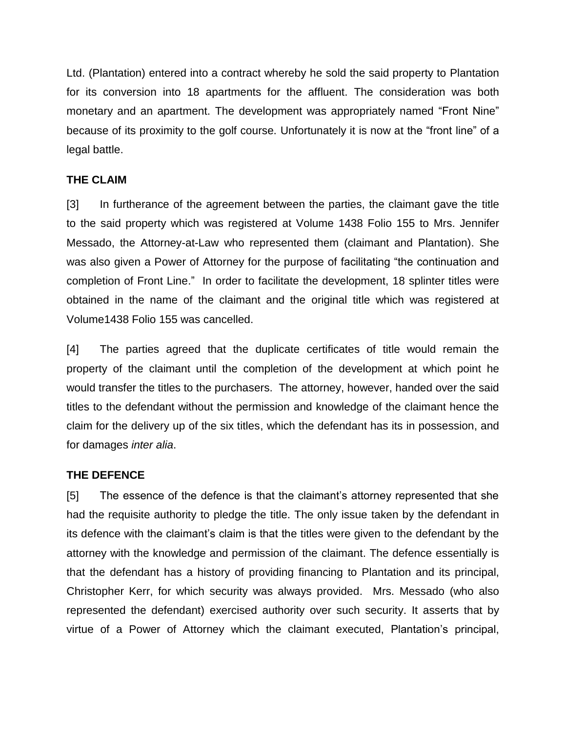Ltd. (Plantation) entered into a contract whereby he sold the said property to Plantation for its conversion into 18 apartments for the affluent. The consideration was both monetary and an apartment. The development was appropriately named "Front Nine" because of its proximity to the golf course. Unfortunately it is now at the "front line" of a legal battle.

#### **THE CLAIM**

[3] In furtherance of the agreement between the parties, the claimant gave the title to the said property which was registered at Volume 1438 Folio 155 to Mrs. Jennifer Messado, the Attorney-at-Law who represented them (claimant and Plantation). She was also given a Power of Attorney for the purpose of facilitating "the continuation and completion of Front Line." In order to facilitate the development, 18 splinter titles were obtained in the name of the claimant and the original title which was registered at Volume1438 Folio 155 was cancelled.

[4] The parties agreed that the duplicate certificates of title would remain the property of the claimant until the completion of the development at which point he would transfer the titles to the purchasers. The attorney, however, handed over the said titles to the defendant without the permission and knowledge of the claimant hence the claim for the delivery up of the six titles, which the defendant has its in possession, and for damages *inter alia*.

#### **THE DEFENCE**

[5] The essence of the defence is that the claimant's attorney represented that she had the requisite authority to pledge the title. The only issue taken by the defendant in its defence with the claimant's claim is that the titles were given to the defendant by the attorney with the knowledge and permission of the claimant. The defence essentially is that the defendant has a history of providing financing to Plantation and its principal, Christopher Kerr, for which security was always provided. Mrs. Messado (who also represented the defendant) exercised authority over such security. It asserts that by virtue of a Power of Attorney which the claimant executed, Plantation's principal,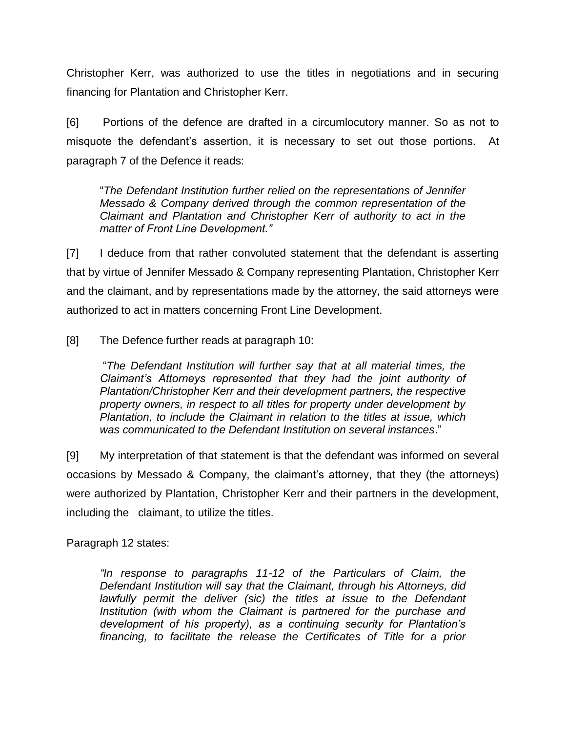Christopher Kerr, was authorized to use the titles in negotiations and in securing financing for Plantation and Christopher Kerr.

[6] Portions of the defence are drafted in a circumlocutory manner. So as not to misquote the defendant's assertion, it is necessary to set out those portions. At paragraph 7 of the Defence it reads:

"*The Defendant Institution further relied on the representations of Jennifer Messado & Company derived through the common representation of the Claimant and Plantation and Christopher Kerr of authority to act in the matter of Front Line Development."*

[7] I deduce from that rather convoluted statement that the defendant is asserting that by virtue of Jennifer Messado & Company representing Plantation, Christopher Kerr and the claimant, and by representations made by the attorney, the said attorneys were authorized to act in matters concerning Front Line Development.

[8] The Defence further reads at paragraph 10:

"*The Defendant Institution will further say that at all material times, the Claimant's Attorneys represented that they had the joint authority of Plantation/Christopher Kerr and their development partners, the respective property owners, in respect to all titles for property under development by Plantation, to include the Claimant in relation to the titles at issue, which was communicated to the Defendant Institution on several instances*."

[9] My interpretation of that statement is that the defendant was informed on several occasions by Messado & Company, the claimant's attorney, that they (the attorneys) were authorized by Plantation, Christopher Kerr and their partners in the development, including the claimant, to utilize the titles.

Paragraph 12 states:

*"In response to paragraphs 11-12 of the Particulars of Claim, the Defendant Institution will say that the Claimant, through his Attorneys, did lawfully permit the deliver (sic) the titles at issue to the Defendant Institution (with whom the Claimant is partnered for the purchase and development of his property), as a continuing security for Plantation's financing, to facilitate the release the Certificates of Title for a prior*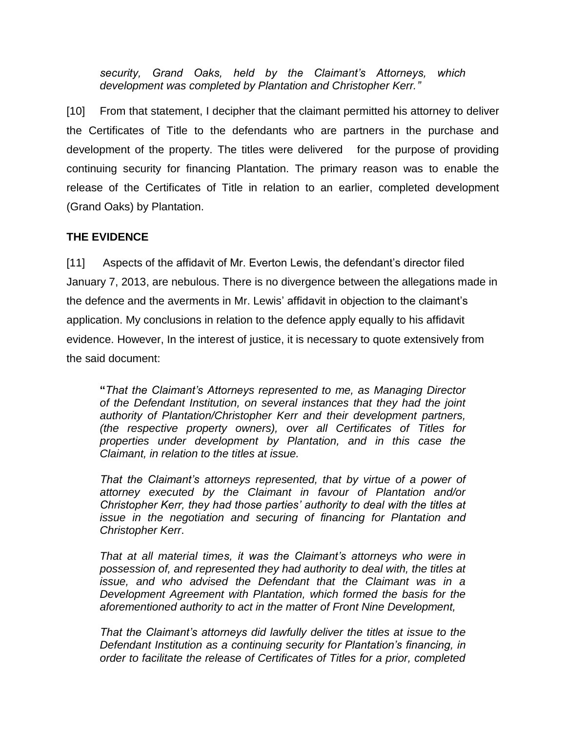*security, Grand Oaks, held by the Claimant's Attorneys, which development was completed by Plantation and Christopher Kerr."*

[10] From that statement, I decipher that the claimant permitted his attorney to deliver the Certificates of Title to the defendants who are partners in the purchase and development of the property. The titles were delivered for the purpose of providing continuing security for financing Plantation. The primary reason was to enable the release of the Certificates of Title in relation to an earlier, completed development (Grand Oaks) by Plantation.

## **THE EVIDENCE**

[11] Aspects of the affidavit of Mr. Everton Lewis, the defendant's director filed January 7, 2013, are nebulous. There is no divergence between the allegations made in the defence and the averments in Mr. Lewis' affidavit in objection to the claimant's application. My conclusions in relation to the defence apply equally to his affidavit evidence. However, In the interest of justice, it is necessary to quote extensively from the said document:

**"***That the Claimant's Attorneys represented to me, as Managing Director of the Defendant Institution, on several instances that they had the joint authority of Plantation/Christopher Kerr and their development partners, (the respective property owners), over all Certificates of Titles for properties under development by Plantation, and in this case the Claimant, in relation to the titles at issue.*

*That the Claimant's attorneys represented, that by virtue of a power of attorney executed by the Claimant in favour of Plantation and/or Christopher Kerr, they had those parties' authority to deal with the titles at issue in the negotiation and securing of financing for Plantation and Christopher Kerr*.

*That at all material times, it was the Claimant's attorneys who were in possession of, and represented they had authority to deal with, the titles at issue, and who advised the Defendant that the Claimant was in a Development Agreement with Plantation, which formed the basis for the aforementioned authority to act in the matter of Front Nine Development,*

*That the Claimant's attorneys did lawfully deliver the titles at issue to the Defendant Institution as a continuing security for Plantation's financing, in order to facilitate the release of Certificates of Titles for a prior, completed*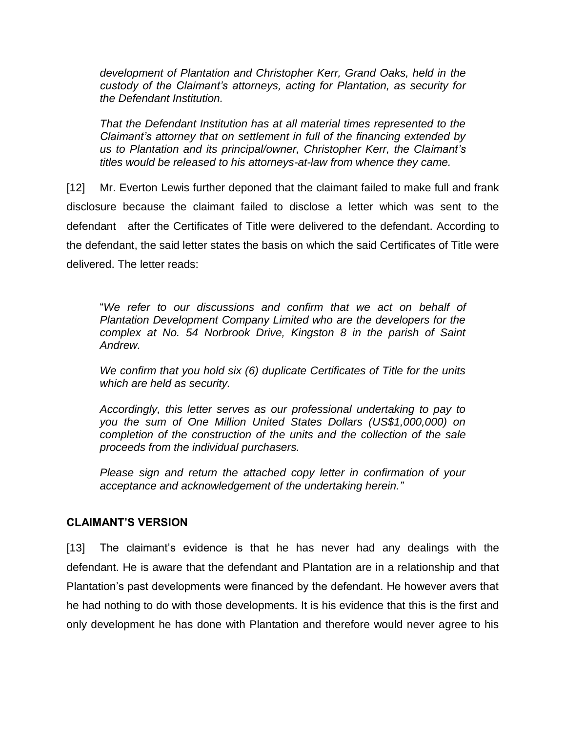*development of Plantation and Christopher Kerr, Grand Oaks, held in the custody of the Claimant's attorneys, acting for Plantation, as security for the Defendant Institution.*

*That the Defendant Institution has at all material times represented to the Claimant's attorney that on settlement in full of the financing extended by us to Plantation and its principal/owner, Christopher Kerr, the Claimant's titles would be released to his attorneys-at-law from whence they came.*

[12] Mr. Everton Lewis further deponed that the claimant failed to make full and frank disclosure because the claimant failed to disclose a letter which was sent to the defendant after the Certificates of Title were delivered to the defendant. According to the defendant, the said letter states the basis on which the said Certificates of Title were delivered. The letter reads:

"*We refer to our discussions and confirm that we act on behalf of Plantation Development Company Limited who are the developers for the complex at No. 54 Norbrook Drive, Kingston 8 in the parish of Saint Andrew.*

*We confirm that you hold six (6) duplicate Certificates of Title for the units which are held as security.*

*Accordingly, this letter serves as our professional undertaking to pay to you the sum of One Million United States Dollars (US\$1,000,000) on completion of the construction of the units and the collection of the sale proceeds from the individual purchasers.*

*Please sign and return the attached copy letter in confirmation of your acceptance and acknowledgement of the undertaking herein."*

#### **CLAIMANT'S VERSION**

[13] The claimant's evidence is that he has never had any dealings with the defendant. He is aware that the defendant and Plantation are in a relationship and that Plantation's past developments were financed by the defendant. He however avers that he had nothing to do with those developments. It is his evidence that this is the first and only development he has done with Plantation and therefore would never agree to his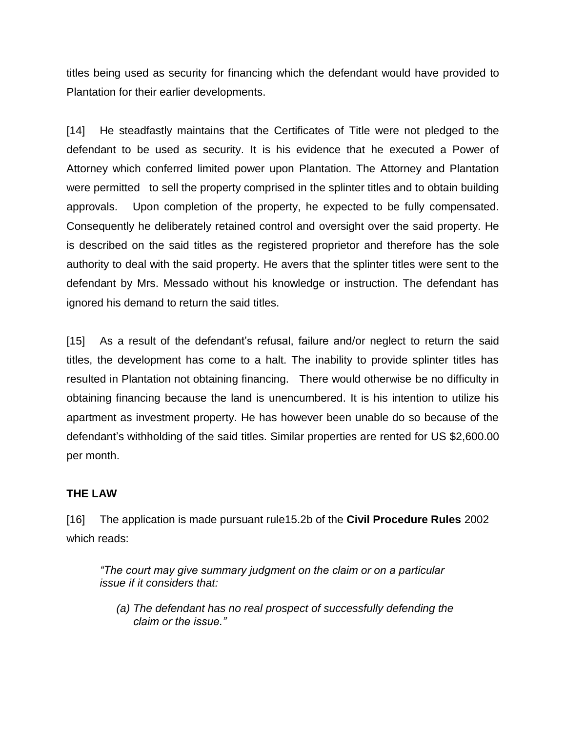titles being used as security for financing which the defendant would have provided to Plantation for their earlier developments.

[14] He steadfastly maintains that the Certificates of Title were not pledged to the defendant to be used as security. It is his evidence that he executed a Power of Attorney which conferred limited power upon Plantation. The Attorney and Plantation were permitted to sell the property comprised in the splinter titles and to obtain building approvals. Upon completion of the property, he expected to be fully compensated. Consequently he deliberately retained control and oversight over the said property. He is described on the said titles as the registered proprietor and therefore has the sole authority to deal with the said property. He avers that the splinter titles were sent to the defendant by Mrs. Messado without his knowledge or instruction. The defendant has ignored his demand to return the said titles.

[15] As a result of the defendant's refusal, failure and/or neglect to return the said titles, the development has come to a halt. The inability to provide splinter titles has resulted in Plantation not obtaining financing. There would otherwise be no difficulty in obtaining financing because the land is unencumbered. It is his intention to utilize his apartment as investment property. He has however been unable do so because of the defendant's withholding of the said titles. Similar properties are rented for US \$2,600.00 per month.

#### **THE LAW**

[16] The application is made pursuant rule15.2b of the **Civil Procedure Rules** 2002 which reads:

*"The court may give summary judgment on the claim or on a particular issue if it considers that:*

*(a) The defendant has no real prospect of successfully defending the claim or the issue."*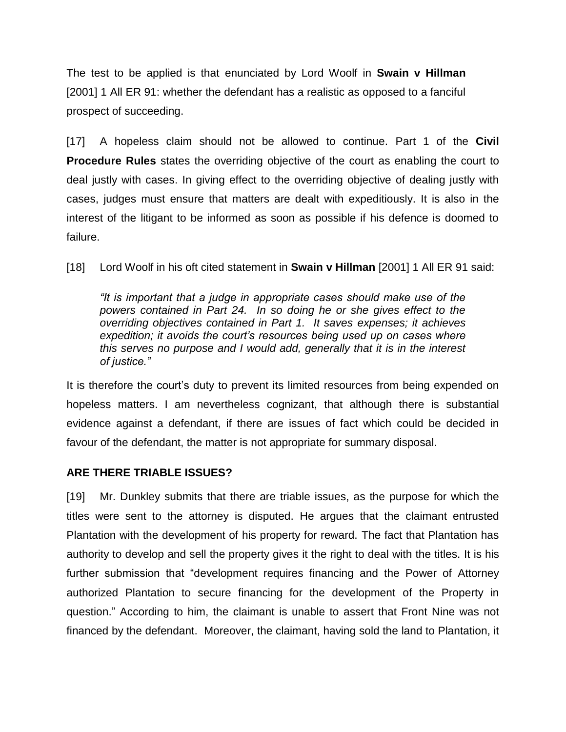The test to be applied is that enunciated by Lord Woolf in **Swain v Hillman** [2001] 1 All ER 91: whether the defendant has a realistic as opposed to a fanciful prospect of succeeding.

[17] A hopeless claim should not be allowed to continue. Part 1 of the **Civil Procedure Rules** states the overriding objective of the court as enabling the court to deal justly with cases. In giving effect to the overriding objective of dealing justly with cases, judges must ensure that matters are dealt with expeditiously. It is also in the interest of the litigant to be informed as soon as possible if his defence is doomed to failure.

[18] Lord Woolf in his oft cited statement in **Swain v Hillman** [2001] 1 All ER 91 said:

*"It is important that a judge in appropriate cases should make use of the powers contained in Part 24. In so doing he or she gives effect to the overriding objectives contained in Part 1. It saves expenses; it achieves expedition; it avoids the court's resources being used up on cases where this serves no purpose and I would add, generally that it is in the interest of justice."*

It is therefore the court's duty to prevent its limited resources from being expended on hopeless matters. I am nevertheless cognizant, that although there is substantial evidence against a defendant, if there are issues of fact which could be decided in favour of the defendant, the matter is not appropriate for summary disposal.

#### **ARE THERE TRIABLE ISSUES?**

[19] Mr. Dunkley submits that there are triable issues, as the purpose for which the titles were sent to the attorney is disputed. He argues that the claimant entrusted Plantation with the development of his property for reward. The fact that Plantation has authority to develop and sell the property gives it the right to deal with the titles. It is his further submission that "development requires financing and the Power of Attorney authorized Plantation to secure financing for the development of the Property in question." According to him, the claimant is unable to assert that Front Nine was not financed by the defendant. Moreover, the claimant, having sold the land to Plantation, it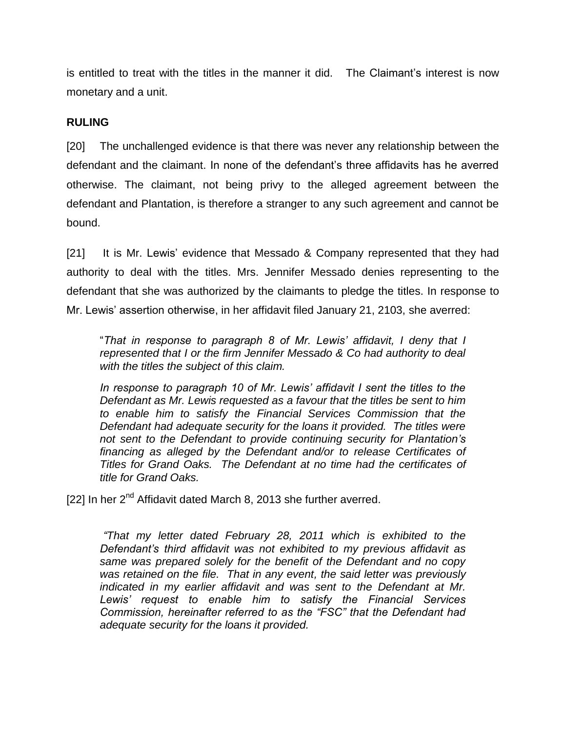is entitled to treat with the titles in the manner it did. The Claimant's interest is now monetary and a unit.

## **RULING**

[20] The unchallenged evidence is that there was never any relationship between the defendant and the claimant. In none of the defendant's three affidavits has he averred otherwise. The claimant, not being privy to the alleged agreement between the defendant and Plantation, is therefore a stranger to any such agreement and cannot be bound.

[21] It is Mr. Lewis' evidence that Messado & Company represented that they had authority to deal with the titles. Mrs. Jennifer Messado denies representing to the defendant that she was authorized by the claimants to pledge the titles. In response to Mr. Lewis' assertion otherwise, in her affidavit filed January 21, 2103, she averred:

"*That in response to paragraph 8 of Mr. Lewis' affidavit, I deny that I represented that I or the firm Jennifer Messado & Co had authority to deal with the titles the subject of this claim.*

*In response to paragraph 10 of Mr. Lewis' affidavit I sent the titles to the Defendant as Mr. Lewis requested as a favour that the titles be sent to him to enable him to satisfy the Financial Services Commission that the Defendant had adequate security for the loans it provided. The titles were not sent to the Defendant to provide continuing security for Plantation's financing as alleged by the Defendant and/or to release Certificates of Titles for Grand Oaks. The Defendant at no time had the certificates of title for Grand Oaks.*

[22] In her 2<sup>nd</sup> Affidavit dated March 8, 2013 she further averred.

*"That my letter dated February 28, 2011 which is exhibited to the Defendant's third affidavit was not exhibited to my previous affidavit as same was prepared solely for the benefit of the Defendant and no copy was retained on the file. That in any event, the said letter was previously indicated in my earlier affidavit and was sent to the Defendant at Mr. Lewis' request to enable him to satisfy the Financial Services Commission, hereinafter referred to as the "FSC" that the Defendant had adequate security for the loans it provided.*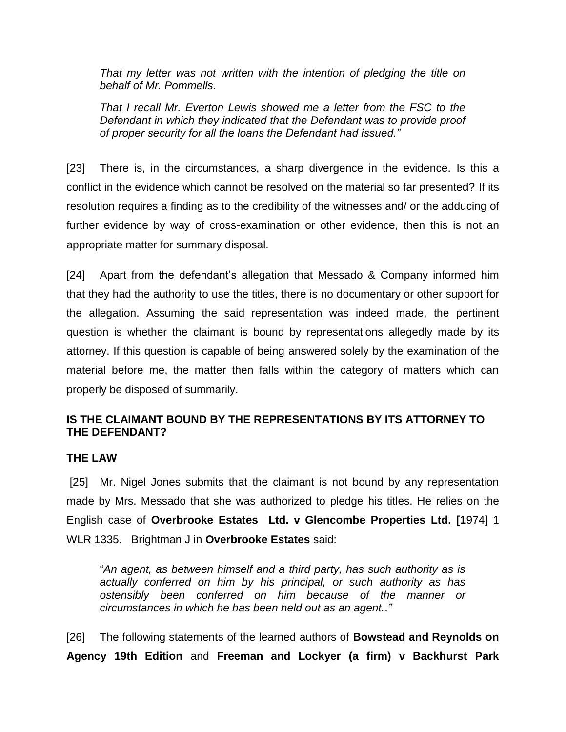*That my letter was not written with the intention of pledging the title on behalf of Mr. Pommells.*

*That I recall Mr. Everton Lewis showed me a letter from the FSC to the Defendant in which they indicated that the Defendant was to provide proof of proper security for all the loans the Defendant had issued."*

[23] There is, in the circumstances, a sharp divergence in the evidence. Is this a conflict in the evidence which cannot be resolved on the material so far presented? If its resolution requires a finding as to the credibility of the witnesses and/ or the adducing of further evidence by way of cross-examination or other evidence, then this is not an appropriate matter for summary disposal.

[24] Apart from the defendant's allegation that Messado & Company informed him that they had the authority to use the titles, there is no documentary or other support for the allegation. Assuming the said representation was indeed made, the pertinent question is whether the claimant is bound by representations allegedly made by its attorney. If this question is capable of being answered solely by the examination of the material before me, the matter then falls within the category of matters which can properly be disposed of summarily.

## **IS THE CLAIMANT BOUND BY THE REPRESENTATIONS BY ITS ATTORNEY TO THE DEFENDANT?**

#### **THE LAW**

[25] Mr. Nigel Jones submits that the claimant is not bound by any representation made by Mrs. Messado that she was authorized to pledge his titles. He relies on the English case of **Overbrooke Estates Ltd. v Glencombe Properties Ltd. [1**974] 1 WLR 1335. Brightman J in **Overbrooke Estates** said:

"*An agent, as between himself and a third party, has such authority as is actually conferred on him by his principal, or such authority as has ostensibly been conferred on him because of the manner or circumstances in which he has been held out as an agent.."*

[26] The following statements of the learned authors of **Bowstead and Reynolds on Agency 19th Edition** and **Freeman and Lockyer (a firm) v Backhurst Park**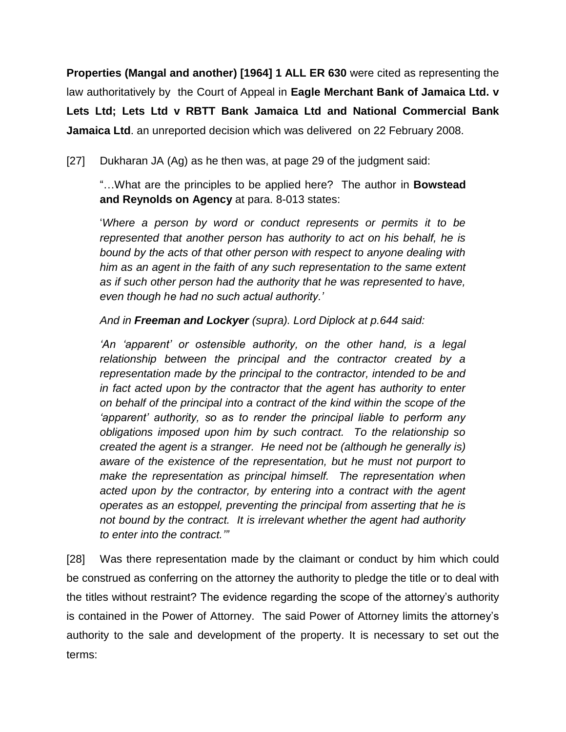**Properties (Mangal and another) [1964] 1 ALL ER 630** were cited as representing the law authoritatively by the Court of Appeal in **Eagle Merchant Bank of Jamaica Ltd. v Lets Ltd; Lets Ltd v RBTT Bank Jamaica Ltd and National Commercial Bank Jamaica Ltd**. an unreported decision which was delivered on 22 February 2008.

[27] Dukharan JA (Ag) as he then was, at page 29 of the judgment said:

"…What are the principles to be applied here? The author in **Bowstead and Reynolds on Agency** at para. 8-013 states:

'*Where a person by word or conduct represents or permits it to be represented that another person has authority to act on his behalf, he is bound by the acts of that other person with respect to anyone dealing with him as an agent in the faith of any such representation to the same extent as if such other person had the authority that he was represented to have, even though he had no such actual authority.'*

*And in Freeman and Lockyer (supra). Lord Diplock at p.644 said:*

*'An 'apparent' or ostensible authority, on the other hand, is a legal relationship between the principal and the contractor created by a representation made by the principal to the contractor, intended to be and in fact acted upon by the contractor that the agent has authority to enter on behalf of the principal into a contract of the kind within the scope of the 'apparent' authority, so as to render the principal liable to perform any obligations imposed upon him by such contract. To the relationship so created the agent is a stranger. He need not be (although he generally is) aware of the existence of the representation, but he must not purport to make the representation as principal himself. The representation when acted upon by the contractor, by entering into a contract with the agent operates as an estoppel, preventing the principal from asserting that he is not bound by the contract. It is irrelevant whether the agent had authority to enter into the contract.'"*

[28] Was there representation made by the claimant or conduct by him which could be construed as conferring on the attorney the authority to pledge the title or to deal with the titles without restraint? The evidence regarding the scope of the attorney's authority is contained in the Power of Attorney. The said Power of Attorney limits the attorney's authority to the sale and development of the property. It is necessary to set out the terms: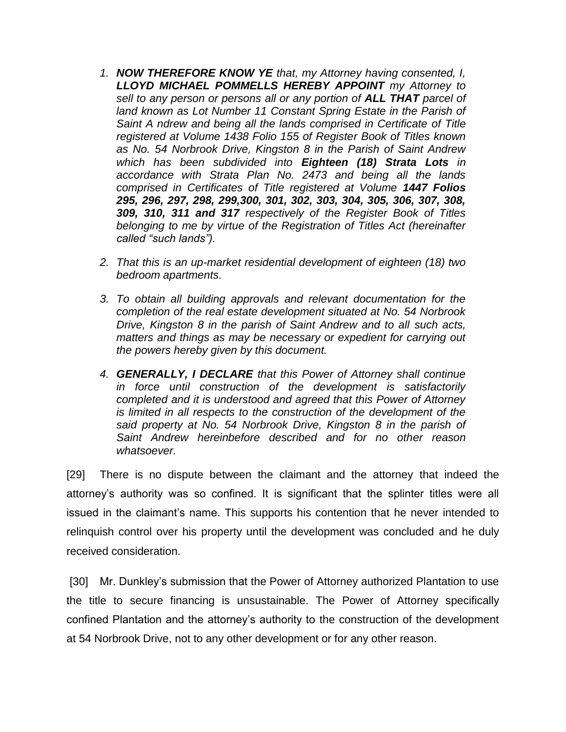- *1. NOW THEREFORE KNOW YE that, my Attorney having consented, I, LLOYD MICHAEL POMMELLS HEREBY APPOINT my Attorney to sell to any person or persons all or any portion of ALL THAT parcel of land known as Lot Number 11 Constant Spring Estate in the Parish of Saint A ndrew and being all the lands comprised in Certificate of Title registered at Volume 1438 Folio 155 of Register Book of Titles known as No. 54 Norbrook Drive, Kingston 8 in the Parish of Saint Andrew which has been subdivided into Eighteen (18) Strata Lots in accordance with Strata Plan No. 2473 and being all the lands comprised in Certificates of Title registered at Volume 1447 Folios 295, 296, 297, 298, 299,300, 301, 302, 303, 304, 305, 306, 307, 308, 309, 310, 311 and 317 respectively of the Register Book of Titles belonging to me by virtue of the Registration of Titles Act (hereinafter called "such lands").*
- *2. That this is an up-market residential development of eighteen (18) two bedroom apartments.*
- *3. To obtain all building approvals and relevant documentation for the completion of the real estate development situated at No. 54 Norbrook Drive, Kingston 8 in the parish of Saint Andrew and to all such acts, matters and things as may be necessary or expedient for carrying out the powers hereby given by this document.*
- *4. GENERALLY, I DECLARE that this Power of Attorney shall continue in force until construction of the development is satisfactorily completed and it is understood and agreed that this Power of Attorney is limited in all respects to the construction of the development of the said property at No. 54 Norbrook Drive, Kingston 8 in the parish of Saint Andrew hereinbefore described and for no other reason whatsoever.*

[29] There is no dispute between the claimant and the attorney that indeed the attorney's authority was so confined. It is significant that the splinter titles were all issued in the claimant's name. This supports his contention that he never intended to relinquish control over his property until the development was concluded and he duly received consideration.

[30] Mr. Dunkley's submission that the Power of Attorney authorized Plantation to use the title to secure financing is unsustainable. The Power of Attorney specifically confined Plantation and the attorney's authority to the construction of the development at 54 Norbrook Drive, not to any other development or for any other reason.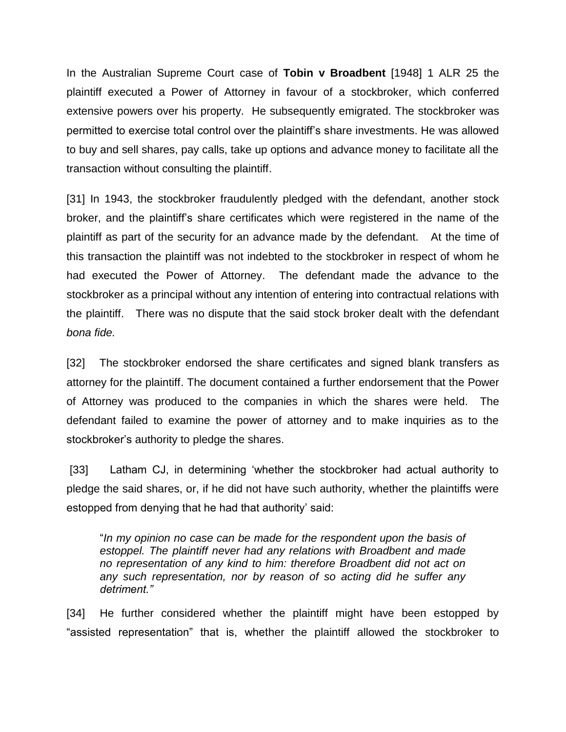In the Australian Supreme Court case of **Tobin v Broadbent** [1948] 1 ALR 25 the plaintiff executed a Power of Attorney in favour of a stockbroker, which conferred extensive powers over his property. He subsequently emigrated. The stockbroker was permitted to exercise total control over the plaintiff's share investments. He was allowed to buy and sell shares, pay calls, take up options and advance money to facilitate all the transaction without consulting the plaintiff.

[31] In 1943, the stockbroker fraudulently pledged with the defendant, another stock broker, and the plaintiff's share certificates which were registered in the name of the plaintiff as part of the security for an advance made by the defendant. At the time of this transaction the plaintiff was not indebted to the stockbroker in respect of whom he had executed the Power of Attorney. The defendant made the advance to the stockbroker as a principal without any intention of entering into contractual relations with the plaintiff. There was no dispute that the said stock broker dealt with the defendant *bona fide.*

[32] The stockbroker endorsed the share certificates and signed blank transfers as attorney for the plaintiff. The document contained a further endorsement that the Power of Attorney was produced to the companies in which the shares were held. The defendant failed to examine the power of attorney and to make inquiries as to the stockbroker's authority to pledge the shares.

[33] Latham CJ, in determining 'whether the stockbroker had actual authority to pledge the said shares, or, if he did not have such authority, whether the plaintiffs were estopped from denying that he had that authority' said:

"*In my opinion no case can be made for the respondent upon the basis of estoppel. The plaintiff never had any relations with Broadbent and made no representation of any kind to him: therefore Broadbent did not act on any such representation, nor by reason of so acting did he suffer any detriment."*

[34] He further considered whether the plaintiff might have been estopped by "assisted representation" that is, whether the plaintiff allowed the stockbroker to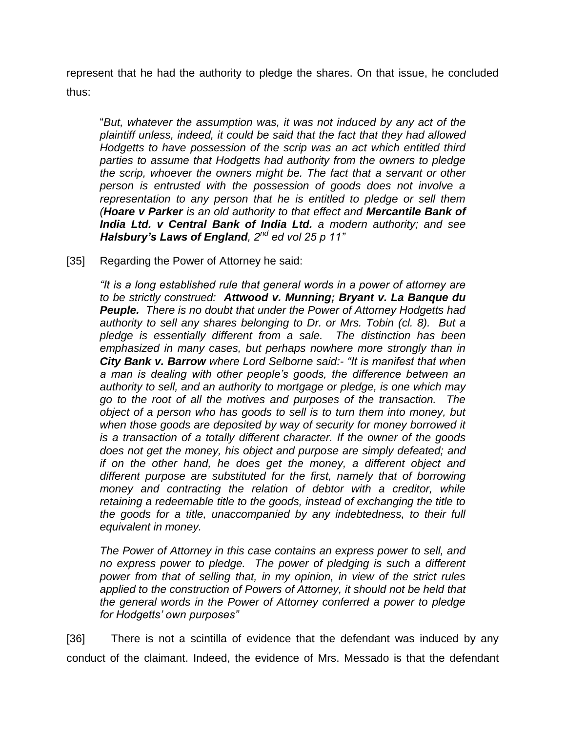represent that he had the authority to pledge the shares. On that issue, he concluded thus:

"*But, whatever the assumption was, it was not induced by any act of the plaintiff unless, indeed, it could be said that the fact that they had allowed Hodgetts to have possession of the scrip was an act which entitled third parties to assume that Hodgetts had authority from the owners to pledge the scrip, whoever the owners might be. The fact that a servant or other person is entrusted with the possession of goods does not involve a representation to any person that he is entitled to pledge or sell them (Hoare v Parker is an old authority to that effect and Mercantile Bank of India Ltd. v Central Bank of India Ltd. a modern authority; and see Halsbury's Laws of England, 2nd ed vol 25 p 11"*

[35] Regarding the Power of Attorney he said:

*"It is a long established rule that general words in a power of attorney are to be strictly construed: Attwood v. Munning; Bryant v. La Banque du Peuple. There is no doubt that under the Power of Attorney Hodgetts had authority to sell any shares belonging to Dr. or Mrs. Tobin (cl. 8). But a pledge is essentially different from a sale. The distinction has been emphasized in many cases, but perhaps nowhere more strongly than in City Bank v. Barrow where Lord Selborne said:- "It is manifest that when a man is dealing with other people's goods, the difference between an authority to sell, and an authority to mortgage or pledge, is one which may go to the root of all the motives and purposes of the transaction. The object of a person who has goods to sell is to turn them into money, but when those goods are deposited by way of security for money borrowed it is a transaction of a totally different character. If the owner of the goods does not get the money, his object and purpose are simply defeated; and if on the other hand, he does get the money, a different object and different purpose are substituted for the first, namely that of borrowing money and contracting the relation of debtor with a creditor, while retaining a redeemable title to the goods, instead of exchanging the title to the goods for a title, unaccompanied by any indebtedness, to their full equivalent in money.*

*The Power of Attorney in this case contains an express power to sell, and no express power to pledge. The power of pledging is such a different power from that of selling that, in my opinion, in view of the strict rules applied to the construction of Powers of Attorney, it should not be held that the general words in the Power of Attorney conferred a power to pledge for Hodgetts' own purposes"*

[36] There is not a scintilla of evidence that the defendant was induced by any conduct of the claimant. Indeed, the evidence of Mrs. Messado is that the defendant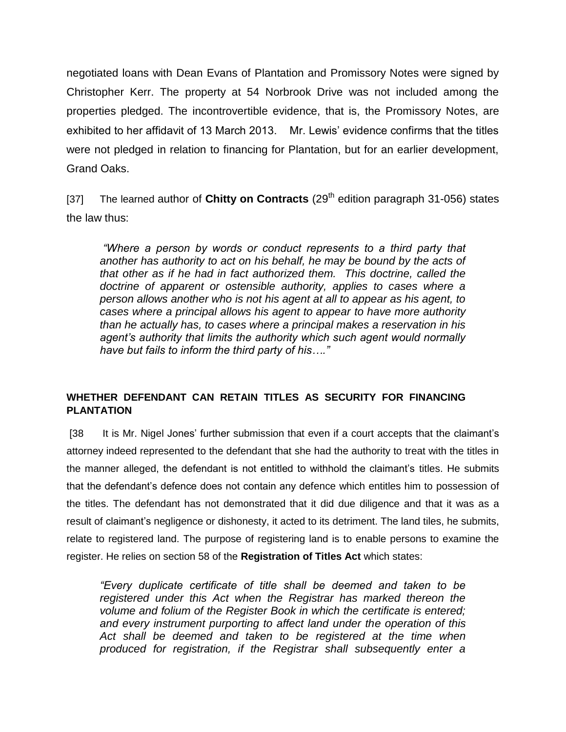negotiated loans with Dean Evans of Plantation and Promissory Notes were signed by Christopher Kerr. The property at 54 Norbrook Drive was not included among the properties pledged. The incontrovertible evidence, that is, the Promissory Notes, are exhibited to her affidavit of 13 March 2013. Mr. Lewis' evidence confirms that the titles were not pledged in relation to financing for Plantation, but for an earlier development, Grand Oaks.

[37] The learned author of **Chitty on Contracts** (29<sup>th</sup> edition paragraph 31-056) states the law thus:

*"Where a person by words or conduct represents to a third party that another has authority to act on his behalf, he may be bound by the acts of that other as if he had in fact authorized them. This doctrine, called the doctrine of apparent or ostensible authority, applies to cases where a person allows another who is not his agent at all to appear as his agent, to cases where a principal allows his agent to appear to have more authority than he actually has, to cases where a principal makes a reservation in his agent's authority that limits the authority which such agent would normally have but fails to inform the third party of his…."*

## **WHETHER DEFENDANT CAN RETAIN TITLES AS SECURITY FOR FINANCING PLANTATION**

[38 It is Mr. Nigel Jones' further submission that even if a court accepts that the claimant's attorney indeed represented to the defendant that she had the authority to treat with the titles in the manner alleged, the defendant is not entitled to withhold the claimant's titles. He submits that the defendant's defence does not contain any defence which entitles him to possession of the titles. The defendant has not demonstrated that it did due diligence and that it was as a result of claimant's negligence or dishonesty, it acted to its detriment. The land tiles, he submits, relate to registered land. The purpose of registering land is to enable persons to examine the register. He relies on section 58 of the **Registration of Titles Act** which states:

*"Every duplicate certificate of title shall be deemed and taken to be registered under this Act when the Registrar has marked thereon the volume and folium of the Register Book in which the certificate is entered; and every instrument purporting to affect land under the operation of this Act shall be deemed and taken to be registered at the time when produced for registration, if the Registrar shall subsequently enter a*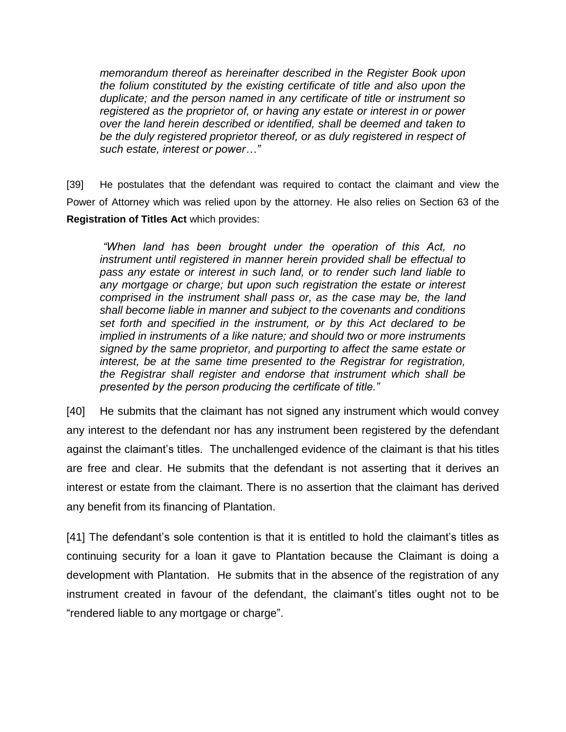*memorandum thereof as hereinafter described in the Register Book upon the folium constituted by the existing certificate of title and also upon the duplicate; and the person named in any certificate of title or instrument so registered as the proprietor of, or having any estate or interest in or power over the land herein described or identified, shall be deemed and taken to be the duly registered proprietor thereof, or as duly registered in respect of such estate, interest or power…"*

[39] He postulates that the defendant was required to contact the claimant and view the Power of Attorney which was relied upon by the attorney. He also relies on Section 63 of the **Registration of Titles Act** which provides:

*"When land has been brought under the operation of this Act, no instrument until registered in manner herein provided shall be effectual to pass any estate or interest in such land, or to render such land liable to any mortgage or charge; but upon such registration the estate or interest comprised in the instrument shall pass or, as the case may be, the land shall become liable in manner and subject to the covenants and conditions set forth and specified in the instrument, or by this Act declared to be implied in instruments of a like nature; and should two or more instruments signed by the same proprietor, and purporting to affect the same estate or interest, be at the same time presented to the Registrar for registration, the Registrar shall register and endorse that instrument which shall be presented by the person producing the certificate of title."*

[40] He submits that the claimant has not signed any instrument which would convey any interest to the defendant nor has any instrument been registered by the defendant against the claimant's titles. The unchallenged evidence of the claimant is that his titles are free and clear. He submits that the defendant is not asserting that it derives an interest or estate from the claimant. There is no assertion that the claimant has derived any benefit from its financing of Plantation.

[41] The defendant's sole contention is that it is entitled to hold the claimant's titles as continuing security for a loan it gave to Plantation because the Claimant is doing a development with Plantation. He submits that in the absence of the registration of any instrument created in favour of the defendant, the claimant's titles ought not to be "rendered liable to any mortgage or charge".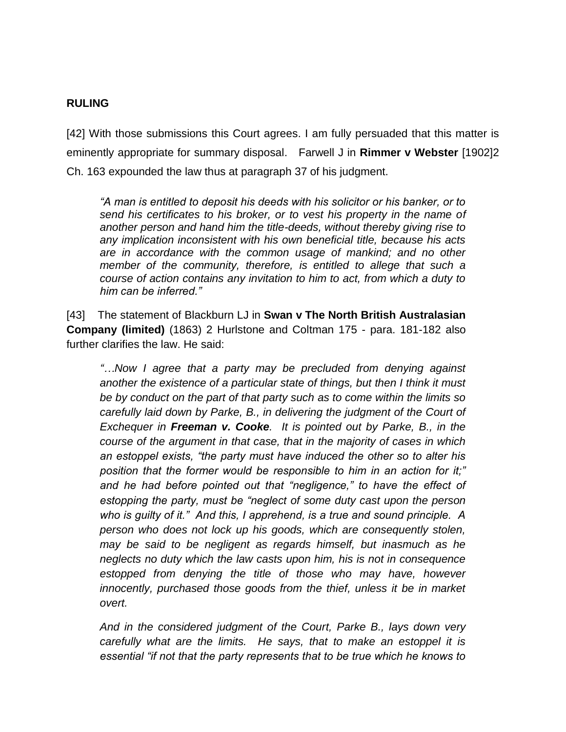#### **RULING**

[42] With those submissions this Court agrees. I am fully persuaded that this matter is eminently appropriate for summary disposal. Farwell J in **Rimmer v Webster** [1902]2 Ch. 163 expounded the law thus at paragraph 37 of his judgment.

*"A man is entitled to deposit his deeds with his solicitor or his banker, or to send his certificates to his broker, or to vest his property in the name of another person and hand him the title-deeds, without thereby giving rise to any implication inconsistent with his own beneficial title, because his acts are in accordance with the common usage of mankind; and no other member of the community, therefore, is entitled to allege that such a course of action contains any invitation to him to act, from which a duty to him can be inferred."*

[43] The statement of Blackburn LJ in **Swan v The North British Australasian Company (limited)** (1863) 2 Hurlstone and Coltman 175 - para. 181-182 also further clarifies the law. He said:

*"…Now I agree that a party may be precluded from denying against another the existence of a particular state of things, but then I think it must be by conduct on the part of that party such as to come within the limits so carefully laid down by Parke, B., in delivering the judgment of the Court of Exchequer in Freeman v. Cooke. It is pointed out by Parke, B., in the course of the argument in that case, that in the majority of cases in which an estoppel exists, "the party must have induced the other so to alter his position that the former would be responsible to him in an action for it;" and he had before pointed out that "negligence," to have the effect of estopping the party, must be "neglect of some duty cast upon the person who is guilty of it." And this, I apprehend, is a true and sound principle. A person who does not lock up his goods, which are consequently stolen, may be said to be negligent as regards himself, but inasmuch as he neglects no duty which the law casts upon him, his is not in consequence estopped from denying the title of those who may have, however innocently, purchased those goods from the thief, unless it be in market overt.*

*And in the considered judgment of the Court, Parke B., lays down very carefully what are the limits. He says, that to make an estoppel it is essential "if not that the party represents that to be true which he knows to*